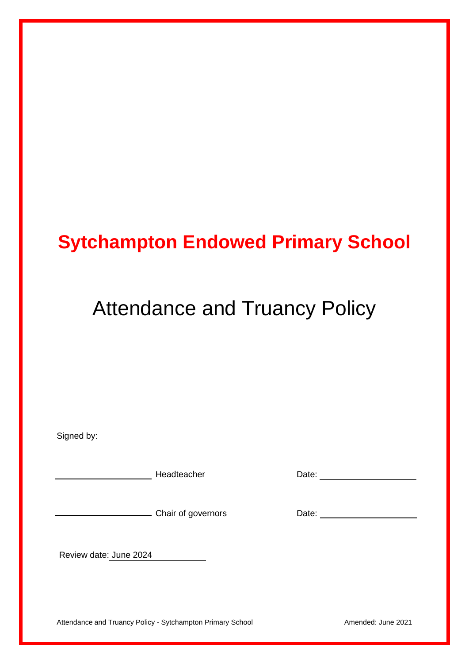## **Sytchampton Endowed Primary School**

# Attendance and Truancy Policy

| Signed by:             |                    |       |
|------------------------|--------------------|-------|
|                        | Headteacher        | Date: |
|                        | Chair of governors | Date: |
| Review date: June 2024 |                    |       |

Attendance and Truancy Policy - Sytchampton Primary School **Amended: June 2021**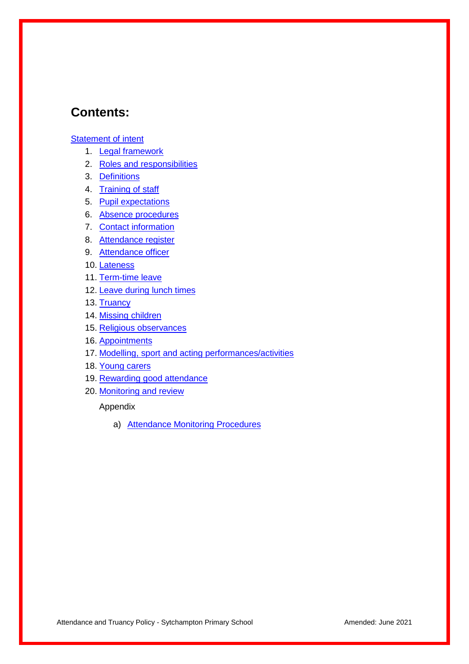## **Contents:**

#### **Statement of intent**

- 1. [Legal framework](#page-3-0)
- 2. Roles and responsibilities
- 3. Definitions
- 4. Training of staff
- 5. [Pupil expectations](#page-5-0)
- 6. Absence procedures
- 7. Contact information
- 8. [Attendance register](#page-6-0)
- 9. [Attendance officer](#page-7-0)
- 10. [Lateness](#page-7-1)
- 11. Term-time leave
- 12. Leave [during lunch times](#page-8-0)
- 13. [Truancy](#page-8-0)
- 14. [Missing children](#page-8-1)
- 15. Religious observances
- 16. Appointments
- 17. [Modelling, sport and acting performances/activities](#page-10-0)
- 18. [Young carers](#page-12-0)
- 19. [Rewarding good attendance](#page-12-1)
- 20. [Monitoring and review](#page-13-0)

Appendix

a) [Attendance Monitoring Procedures](#page-14-0)

Attendance and Truancy Policy - Sytchampton Primary School **Amended:** June 2021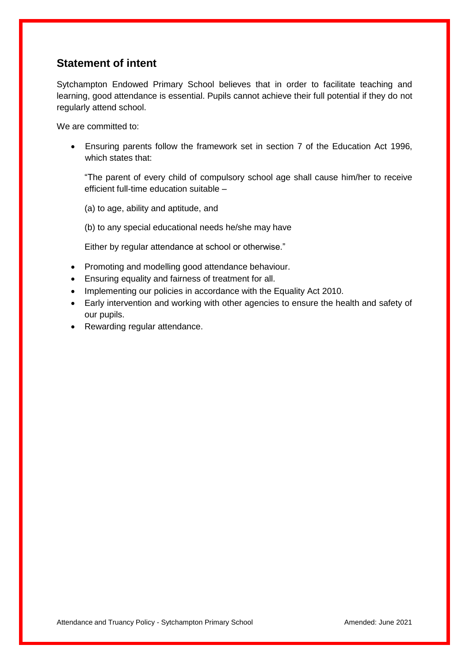## **Statement of intent**

Sytchampton Endowed Primary School believes that in order to facilitate teaching and learning, good attendance is essential. Pupils cannot achieve their full potential if they do not regularly attend school.

We are committed to:

 Ensuring parents follow the framework set in section 7 of the Education Act 1996, which states that:

"The parent of every child of compulsory school age shall cause him/her to receive efficient full-time education suitable –

(a) to age, ability and aptitude, and

(b) to any special educational needs he/she may have

Either by regular attendance at school or otherwise."

- Promoting and modelling good attendance behaviour.
- Ensuring equality and fairness of treatment for all.
- Implementing our policies in accordance with the Equality Act 2010.
- Early intervention and working with other agencies to ensure the health and safety of our pupils.
- Rewarding regular attendance.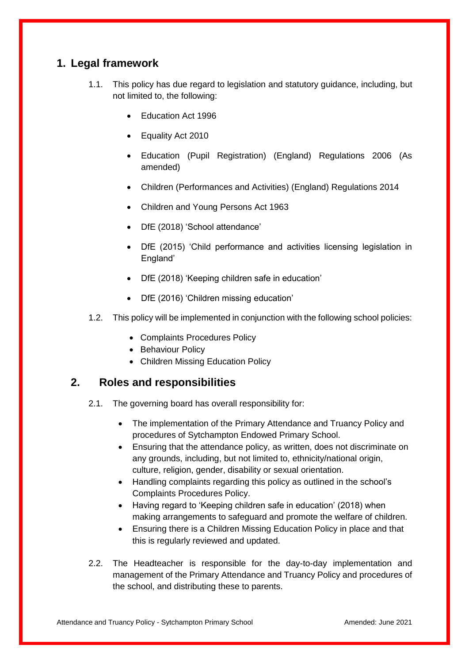## <span id="page-3-0"></span>**1. Legal framework**

- 1.1. This policy has due regard to legislation and statutory guidance, including, but not limited to, the following:
	- Education Act 1996
	- Equality Act 2010
	- Education (Pupil Registration) (England) Regulations 2006 (As amended)
	- Children (Performances and Activities) (England) Regulations 2014
	- Children and Young Persons Act 1963
	- DfE (2018) 'School attendance'
	- DfE (2015) 'Child performance and activities licensing legislation in England'
	- DfE (2018) 'Keeping children safe in education'
	- DfE (2016) 'Children missing education'
- 1.2. This policy will be implemented in conjunction with the following school policies:
	- Complaints Procedures Policy
	- Behaviour Policy
	- Children Missing Education Policy

#### **2. Roles and responsibilities**

- 2.1. The governing board has overall responsibility for:
	- The implementation of the Primary Attendance and Truancy Policy and procedures of Sytchampton Endowed Primary School.
	- Ensuring that the attendance policy, as written, does not discriminate on any grounds, including, but not limited to, ethnicity/national origin, culture, religion, gender, disability or sexual orientation.
	- Handling complaints regarding this policy as outlined in the school's Complaints Procedures Policy.
	- Having regard to 'Keeping children safe in education' (2018) when making arrangements to safeguard and promote the welfare of children.
	- Ensuring there is a Children Missing Education Policy in place and that this is regularly reviewed and updated.
- 2.2. The Headteacher is responsible for the day-to-day implementation and management of the Primary Attendance and Truancy Policy and procedures of the school, and distributing these to parents.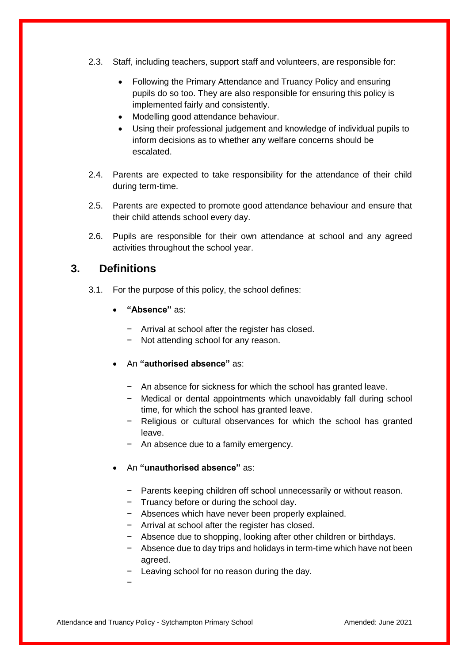- 2.3. Staff, including teachers, support staff and volunteers, are responsible for:
	- Following the Primary Attendance and Truancy Policy and ensuring pupils do so too. They are also responsible for ensuring this policy is implemented fairly and consistently.
	- Modelling good attendance behaviour.
	- Using their professional judgement and knowledge of individual pupils to inform decisions as to whether any welfare concerns should be escalated.
- 2.4. Parents are expected to take responsibility for the attendance of their child during term-time.
- 2.5. Parents are expected to promote good attendance behaviour and ensure that their child attends school every day.
- 2.6. Pupils are responsible for their own attendance at school and any agreed activities throughout the school year.

#### **3. Definitions**

- 3.1. For the purpose of this policy, the school defines:
	- **"Absence"** as:
		- − Arrival at school after the register has closed.
		- Not attending school for any reason.
	- An **"authorised absence"** as:
		- − An absence for sickness for which the school has granted leave.
		- − Medical or dental appointments which unavoidably fall during school time, for which the school has granted leave.
		- − Religious or cultural observances for which the school has granted leave.
		- − An absence due to a family emergency.
	- An **"unauthorised absence"** as:
		- − Parents keeping children off school unnecessarily or without reason.
		- − Truancy before or during the school day.
		- − Absences which have never been properly explained.
		- − Arrival at school after the register has closed.
		- − Absence due to shopping, looking after other children or birthdays.
		- − Absence due to day trips and holidays in term-time which have not been agreed.
		- − Leaving school for no reason during the day.
		- −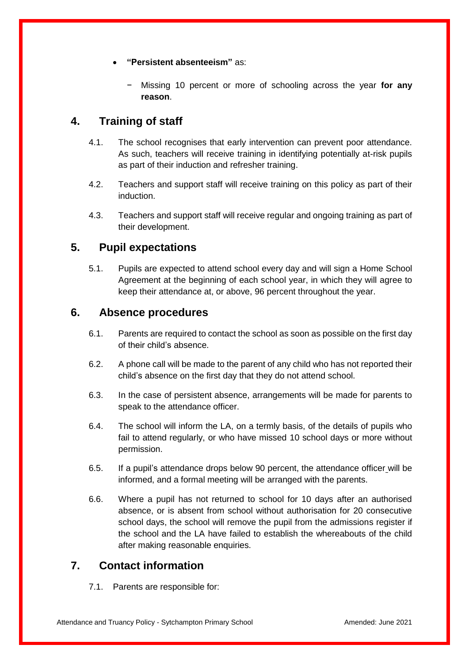- **"Persistent absenteeism"** as:
	- − Missing 10 percent or more of schooling across the year **for any reason**.

## **4. Training of staff**

- 4.1. The school recognises that early intervention can prevent poor attendance. As such, teachers will receive training in identifying potentially at-risk pupils as part of their induction and refresher training.
- 4.2. Teachers and support staff will receive training on this policy as part of their induction.
- 4.3. Teachers and support staff will receive regular and ongoing training as part of their development.

## <span id="page-5-0"></span>**5. Pupil expectations**

5.1. Pupils are expected to attend school every day and will sign a Home School Agreement at the beginning of each school year, in which they will agree to keep their attendance at, or above, 96 percent throughout the year.

### **6. Absence procedures**

- 6.1. Parents are required to contact the school as soon as possible on the first day of their child's absence.
- 6.2. A phone call will be made to the parent of any child who has not reported their child's absence on the first day that they do not attend school.
- 6.3. In the case of persistent absence, arrangements will be made for parents to speak to the attendance officer.
- <span id="page-5-1"></span>6.4. The school will inform the LA, on a termly basis, of the details of pupils who fail to attend regularly, or who have missed 10 school days or more without permission.
- 6.5. If a pupil's attendance drops below 90 percent, the attendance officer will be informed, and a formal meeting will be arranged with the parents.
- <span id="page-5-2"></span>6.6. Where a pupil has not returned to school for 10 days after an authorised absence, or is absent from school without authorisation for 20 consecutive school days, the school will remove the pupil from the admissions register if the school and the LA have failed to establish the whereabouts of the child after making reasonable enquiries.

## **7. Contact information**

7.1. Parents are responsible for: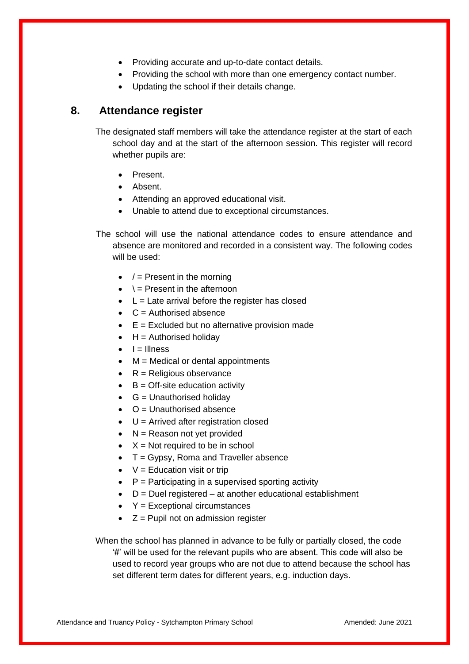- Providing accurate and up-to-date contact details.
- Providing the school with more than one emergency contact number.
- Updating the school if their details change.

#### <span id="page-6-0"></span>**8. Attendance register**

The designated staff members will take the attendance register at the start of each school day and at the start of the afternoon session. This register will record whether pupils are:

- Present.
- Absent.
- Attending an approved educational visit.
- Unable to attend due to exceptional circumstances.

The school will use the national attendance codes to ensure attendance and absence are monitored and recorded in a consistent way. The following codes will be used:

- $\bullet$  / = Present in the morning
- $\bullet \quad \dagger$  = Present in the afternoon
- $\bullet$  L = Late arrival before the register has closed
- $\bullet$  C = Authorised absence
- $\bullet$   $E =$  Excluded but no alternative provision made
- $H =$  Authorised holiday
- $\bullet$   $I =$  Illness
- $M = Medical or dental appointments$
- $\bullet$  R = Religious observance
- $\bullet$  B = Off-site education activity
- $\bullet$  G = Unauthorised holidav
- $\bullet$   $\circ$   $\circ$   $=$  Unauthorised absence
- $\bullet$  U = Arrived after registration closed
- $\bullet$  N = Reason not yet provided
- $\bullet$   $X = Not required to be in school$
- $\bullet$  T = Gypsy, Roma and Traveller absence
- $\bullet$   $V =$  Education visit or trip
- $\bullet$   $\quad$  P = Participating in a supervised sporting activity
- $\bullet$  D = Duel registered at another educational establishment
- $\textbf{Y} =$  Exceptional circumstances
- $\bullet$   $Z =$  Pupil not on admission register

When the school has planned in advance to be fully or partially closed, the code '#' will be used for the relevant pupils who are absent. This code will also be used to record year groups who are not due to attend because the school has set different term dates for different years, e.g. induction days.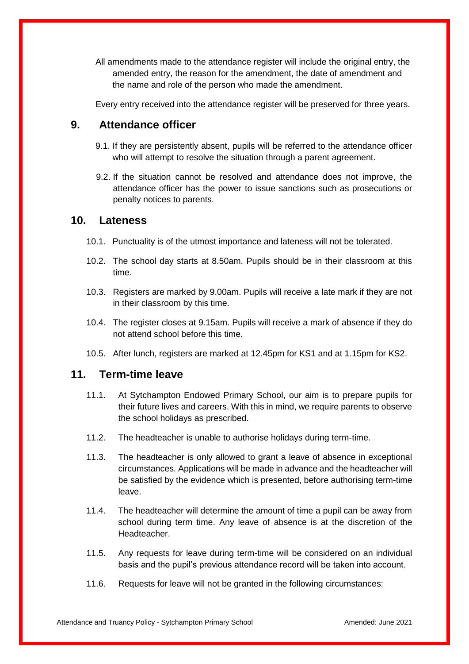All amendments made to the attendance register will include the original entry, the amended entry, the reason for the amendment, the date of amendment and the name and role of the person who made the amendment.

Every entry received into the attendance register will be preserved for three years.

#### <span id="page-7-0"></span>**9. Attendance officer**

- 9.1. If they are persistently absent, pupils will be referred to the attendance officer who will attempt to resolve the situation through a parent agreement.
- 9.2. If the situation cannot be resolved and attendance does not improve, the attendance officer has the power to issue sanctions such as prosecutions or penalty notices to parents.

#### <span id="page-7-1"></span>**10. Lateness**

- 10.1. Punctuality is of the utmost importance and lateness will not be tolerated.
- 10.2. The school day starts at 8.50am. Pupils should be in their classroom at this time.
- 10.3. Registers are marked by 9.00am. Pupils will receive a late mark if they are not in their classroom by this time.
- 10.4. The register closes at 9.15am. Pupils will receive a mark of absence if they do not attend school before this time.
- 10.5. After lunch, registers are marked at 12.45pm for KS1 and at 1.15pm for KS2.

#### **11. Term-time leave**

- 11.1. At Sytchampton Endowed Primary School, our aim is to prepare pupils for their future lives and careers. With this in mind, we require parents to observe the school holidays as prescribed.
- 11.2. The headteacher is unable to authorise holidays during term-time.
- 11.3. The headteacher is only allowed to grant a leave of absence in exceptional circumstances. Applications will be made in advance and the headteacher will be satisfied by the evidence which is presented, before authorising term-time leave.
- 11.4. The headteacher will determine the amount of time a pupil can be away from school during term time. Any leave of absence is at the discretion of the Headteacher.
- 11.5. Any requests for leave during term-time will be considered on an individual basis and the pupil's previous attendance record will be taken into account.
- 11.6. Requests for leave will not be granted in the following circumstances: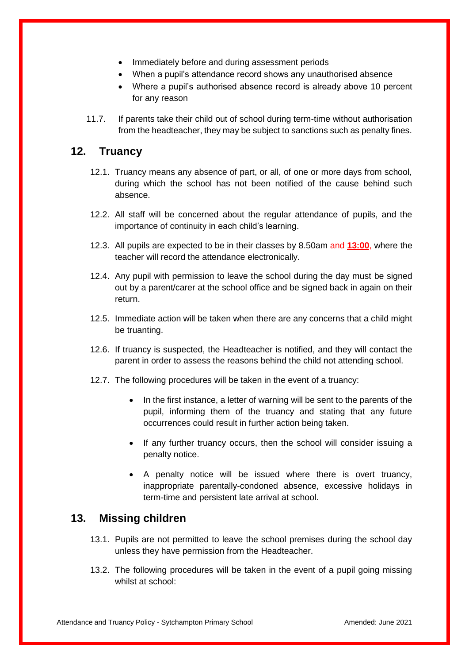- Immediately before and during assessment periods
- When a pupil's attendance record shows any unauthorised absence
- Where a pupil's authorised absence record is already above 10 percent for any reason
- 11.7. If parents take their child out of school during term-time without authorisation from the headteacher, they may be subject to sanctions such as penalty fines.

## <span id="page-8-0"></span>**12. Truancy**

- 12.1. Truancy means any absence of part, or all, of one or more days from school, during which the school has not been notified of the cause behind such absence.
- 12.2. All staff will be concerned about the regular attendance of pupils, and the importance of continuity in each child's learning.
- 12.3. All pupils are expected to be in their classes by 8.50am and **13:00**, where the teacher will record the attendance electronically.
- 12.4. Any pupil with permission to leave the school during the day must be signed out by a parent/carer at the school office and be signed back in again on their return.
- 12.5. Immediate action will be taken when there are any concerns that a child might be truanting.
- 12.6. If truancy is suspected, the Headteacher is notified, and they will contact the parent in order to assess the reasons behind the child not attending school.
- 12.7. The following procedures will be taken in the event of a truancy:
	- In the first instance, a letter of warning will be sent to the parents of the pupil, informing them of the truancy and stating that any future occurrences could result in further action being taken.
	- If any further truancy occurs, then the school will consider issuing a penalty notice.
	- A penalty notice will be issued where there is overt truancy, inappropriate parentally-condoned absence, excessive holidays in term-time and persistent late arrival at school.

## <span id="page-8-1"></span>**13. Missing children**

- 13.1. Pupils are not permitted to leave the school premises during the school day unless they have permission from the Headteacher.
- 13.2. The following procedures will be taken in the event of a pupil going missing whilst at school: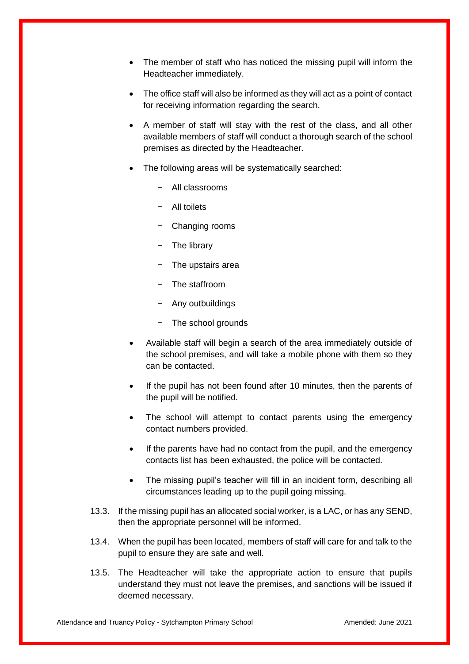- The member of staff who has noticed the missing pupil will inform the Headteacher immediately.
- The office staff will also be informed as they will act as a point of contact for receiving information regarding the search.
- A member of staff will stay with the rest of the class, and all other available members of staff will conduct a thorough search of the school premises as directed by the Headteacher.
- The following areas will be systematically searched:
	- − All classrooms
	- − All toilets
	- − Changing rooms
	- − The library
	- − The upstairs area
	- − The staffroom
	- − Any outbuildings
	- − The school grounds
- Available staff will begin a search of the area immediately outside of the school premises, and will take a mobile phone with them so they can be contacted.
- If the pupil has not been found after 10 minutes, then the parents of the pupil will be notified.
- The school will attempt to contact parents using the emergency contact numbers provided.
- If the parents have had no contact from the pupil, and the emergency contacts list has been exhausted, the police will be contacted.
- The missing pupil's teacher will fill in an incident form, describing all circumstances leading up to the pupil going missing.
- 13.3. If the missing pupil has an allocated social worker, is a LAC, or has any SEND, then the appropriate personnel will be informed.
- 13.4. When the pupil has been located, members of staff will care for and talk to the pupil to ensure they are safe and well.
- 13.5. The Headteacher will take the appropriate action to ensure that pupils understand they must not leave the premises, and sanctions will be issued if deemed necessary.

Attendance and Truancy Policy - Sytchampton Primary School **Amended:** June 2021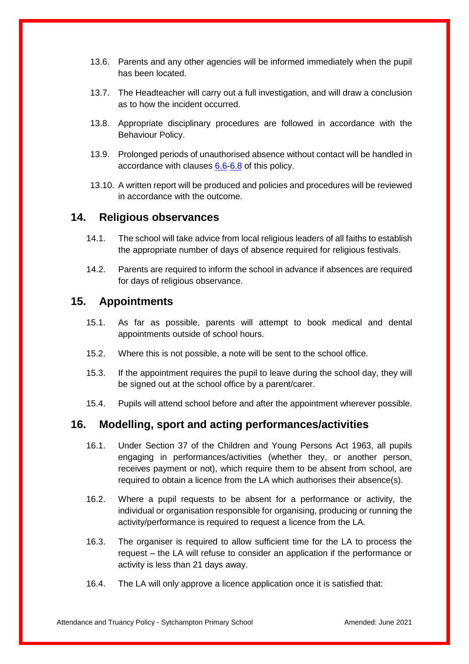- 13.6. Parents and any other agencies will be informed immediately when the pupil has been located.
- 13.7. The Headteacher will carry out a full investigation, and will draw a conclusion as to how the incident occurred.
- 13.8. Appropriate disciplinary procedures are followed in accordance with the Behaviour Policy.
- 13.9. Prolonged periods of unauthorised absence without contact will be handled in accordance with clauses [6.6](#page-5-1)[-6.8](#page-5-2) of this policy.
- 13.10. A written report will be produced and policies and procedures will be reviewed in accordance with the outcome.

### **14. Religious observances**

- 14.1. The school will take advice from local religious leaders of all faiths to establish the appropriate number of days of absence required for religious festivals.
- 14.2. Parents are required to inform the school in advance if absences are required for days of religious observance.

### **15. Appointments**

- 15.1. As far as possible, parents will attempt to book medical and dental appointments outside of school hours.
- 15.2. Where this is not possible, a note will be sent to the school office.
- 15.3. If the appointment requires the pupil to leave during the school day, they will be signed out at the school office by a parent/carer.
- 15.4. Pupils will attend school before and after the appointment wherever possible.

## <span id="page-10-0"></span>**16. Modelling, sport and acting performances/activities**

- 16.1. Under Section 37 of the Children and Young Persons Act 1963, all pupils engaging in performances/activities (whether they, or another person, receives payment or not), which require them to be absent from school, are required to obtain a licence from the LA which authorises their absence(s).
- 16.2. Where a pupil requests to be absent for a performance or activity, the individual or organisation responsible for organising, producing or running the activity/performance is required to request a licence from the LA.
- 16.3. The organiser is required to allow sufficient time for the LA to process the request – the LA will refuse to consider an application if the performance or activity is less than 21 days away.
- 16.4. The LA will only approve a licence application once it is satisfied that: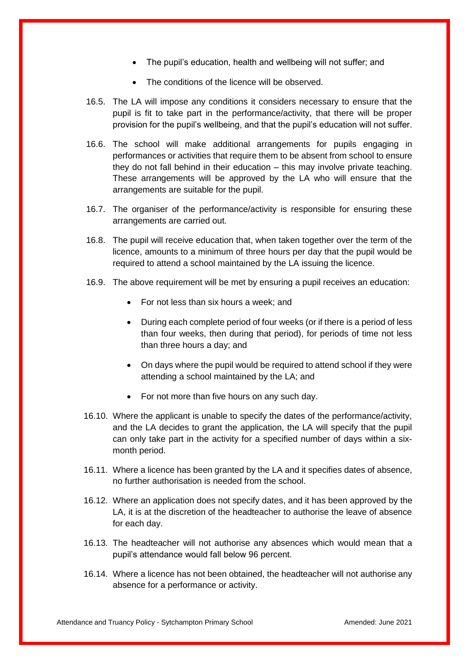- The pupil's education, health and wellbeing will not suffer; and
- The conditions of the licence will be observed.
- 16.5. The LA will impose any conditions it considers necessary to ensure that the pupil is fit to take part in the performance/activity, that there will be proper provision for the pupil's wellbeing, and that the pupil's education will not suffer.
- 16.6. The school will make additional arrangements for pupils engaging in performances or activities that require them to be absent from school to ensure they do not fall behind in their education – this may involve private teaching. These arrangements will be approved by the LA who will ensure that the arrangements are suitable for the pupil.
- 16.7. The organiser of the performance/activity is responsible for ensuring these arrangements are carried out.
- 16.8. The pupil will receive education that, when taken together over the term of the licence, amounts to a minimum of three hours per day that the pupil would be required to attend a school maintained by the LA issuing the licence.
- 16.9. The above requirement will be met by ensuring a pupil receives an education:
	- For not less than six hours a week; and
	- During each complete period of four weeks (or if there is a period of less than four weeks, then during that period), for periods of time not less than three hours a day; and
	- On days where the pupil would be required to attend school if they were attending a school maintained by the LA; and
	- For not more than five hours on any such day.
- 16.10. Where the applicant is unable to specify the dates of the performance/activity, and the LA decides to grant the application, the LA will specify that the pupil can only take part in the activity for a specified number of days within a sixmonth period.
- 16.11. Where a licence has been granted by the LA and it specifies dates of absence, no further authorisation is needed from the school.
- 16.12. Where an application does not specify dates, and it has been approved by the LA, it is at the discretion of the headteacher to authorise the leave of absence for each day.
- 16.13. The headteacher will not authorise any absences which would mean that a pupil's attendance would fall below 96 percent.
- 16.14. Where a licence has not been obtained, the headteacher will not authorise any absence for a performance or activity.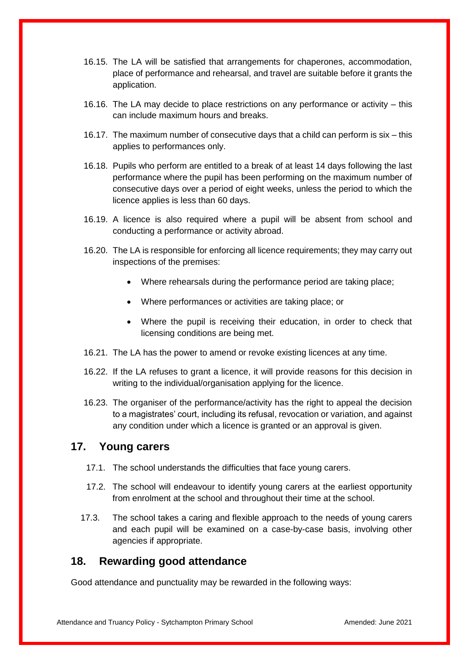- 16.15. The LA will be satisfied that arrangements for chaperones, accommodation, place of performance and rehearsal, and travel are suitable before it grants the application.
- 16.16. The LA may decide to place restrictions on any performance or activity this can include maximum hours and breaks.
- 16.17. The maximum number of consecutive days that a child can perform is six this applies to performances only.
- 16.18. Pupils who perform are entitled to a break of at least 14 days following the last performance where the pupil has been performing on the maximum number of consecutive days over a period of eight weeks, unless the period to which the licence applies is less than 60 days.
- 16.19. A licence is also required where a pupil will be absent from school and conducting a performance or activity abroad.
- 16.20. The LA is responsible for enforcing all licence requirements; they may carry out inspections of the premises:
	- Where rehearsals during the performance period are taking place;
	- Where performances or activities are taking place; or
	- Where the pupil is receiving their education, in order to check that licensing conditions are being met.
- 16.21. The LA has the power to amend or revoke existing licences at any time.
- 16.22. If the LA refuses to grant a licence, it will provide reasons for this decision in writing to the individual/organisation applying for the licence.
- 16.23. The organiser of the performance/activity has the right to appeal the decision to a magistrates' court, including its refusal, revocation or variation, and against any condition under which a licence is granted or an approval is given.

#### <span id="page-12-0"></span>**17. Young carers**

- 17.1. The school understands the difficulties that face young carers.
- 17.2. The school will endeavour to identify young carers at the earliest opportunity from enrolment at the school and throughout their time at the school.
- 17.3. The school takes a caring and flexible approach to the needs of young carers and each pupil will be examined on a case-by-case basis, involving other agencies if appropriate.

#### <span id="page-12-1"></span>**18. Rewarding good attendance**

Good attendance and punctuality may be rewarded in the following ways:

Attendance and Truancy Policy - Sytchampton Primary School **Amended: June 2021** Amended: June 2021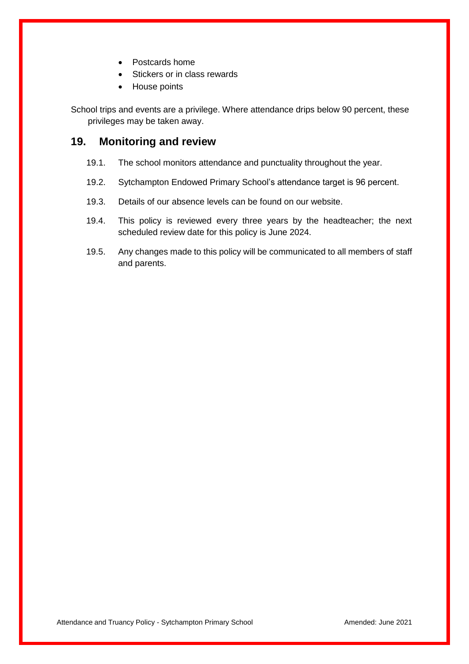- Postcards home
- Stickers or in class rewards
- House points

School trips and events are a privilege. Where attendance drips below 90 percent, these privileges may be taken away.

#### <span id="page-13-0"></span>**19. Monitoring and review**

- 19.1. The school monitors attendance and punctuality throughout the year.
- 19.2. Sytchampton Endowed Primary School's attendance target is 96 percent.
- 19.3. Details of our absence levels can be found on our website.
- 19.4. This policy is reviewed every three years by the headteacher; the next scheduled review date for this policy is June 2024.
- 19.5. Any changes made to this policy will be communicated to all members of staff and parents.